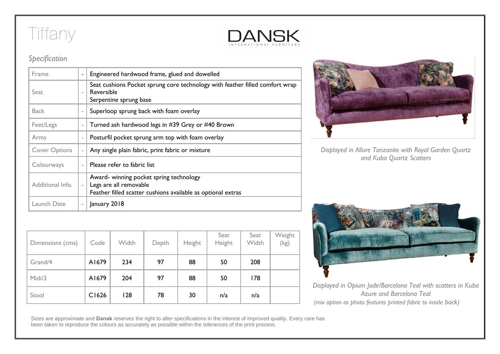## Tiffany



## *Specification*

| $\equiv$                 | Engineered hardwood frame, glued and dowelled                                                                                     |
|--------------------------|-----------------------------------------------------------------------------------------------------------------------------------|
| $\overline{\phantom{a}}$ | Seat cushions Pocket sprung core technology with feather filled comfort wrap<br>Reversible<br>Serpentine sprung base              |
| $\overline{\phantom{a}}$ | Superloop sprung back with foam overlay                                                                                           |
| ×,                       | Turned ash hardwood legs in #39 Grey or #40 Brown                                                                                 |
|                          | Posturfil pocket sprung arm top with foam overlay                                                                                 |
| $\overline{\phantom{a}}$ | Any single plain fabric, print fabric or mixture                                                                                  |
|                          | Please refer to fabric list                                                                                                       |
| $\bar{a}$                | Award- winning pocket spring technology<br>Legs are all removable<br>Feather filled scatter cushions available as optional extras |
|                          | January 2018                                                                                                                      |
|                          |                                                                                                                                   |

| Dimensions (cms) | Code  | Width | Depth | Height | Seat<br>Height | Seat<br>Width | Weight<br>(kg) |
|------------------|-------|-------|-------|--------|----------------|---------------|----------------|
| Grand/4          | A1679 | 234   | 97    | 88     | 50             | 208           |                |
| Midi/3           | A1679 | 204   | 97    | 88     | 50             | 178           |                |
| Stool            | C1626 | 128   | 78    | 30     | n/a            | n/a           |                |



*Displayed in Allure Tanzanite with Royal Garden Quartz and Kuba Quartz Scatters*



*Displayed in Opium Jade/Barcelona Teal with scatters in Kuba Azure and Barcelona Teal (mix option as photo features printed fabric to inside back)*

Sizes are approximate and **Dansk** reserves the right to alter specifications in the interest of improved quality. Every care has been taken to reproduce the colours as accurately as possible within the tolerances of the print process.